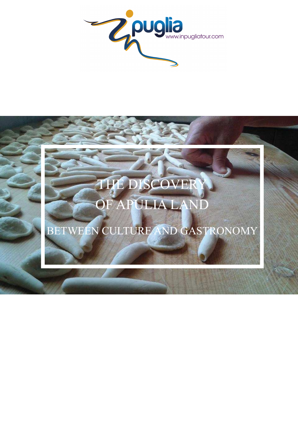

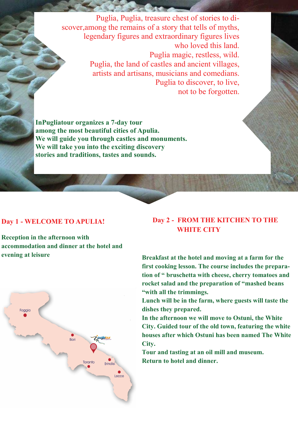Puglia, Puglia, treasure chest of stories to discover,among the remains of a story that tells of myths, legendary figures and extraordinary figures lives who loved this land. Puglia magic, restless, wild. Puglia, the land of castles and ancient villages, artists and artisans, musicians and comedians. Puglia to discover, to live, not to be forgotten.

**Contract Contract Contract Contract** 

**InPugliatour organizes a 7-day tour among the most beautiful cities of Apulia. We will guide you through castles and monuments. We will take you into the exciting discovery stories and traditions, tastes and sounds.** 

#### **Day 1 - WELCOME TO APULIA!**

**Reception in the afternoon with accommodation and dinner at the hotel and evening at leisure** 



# **Day 2 - FROM THE KITCHEN TO THE WHITE CITY**

**Breakfast at the hotel and moving at a farm for the first cooking lesson. The course includes the preparation of " bruschetta with cheese, cherry tomatoes and rocket salad and the preparation of "mashed beans "with all the trimmings.** 

**Lunch will be in the farm, where guests will taste the dishes they prepared.** 

**In the afternoon we will move to Ostuni, the White City. Guided tour of the old town, featuring the white houses after which Ostuni has been named The White City.** 

**Tour and tasting at an oil mill and museum. Return to hotel and dinner.**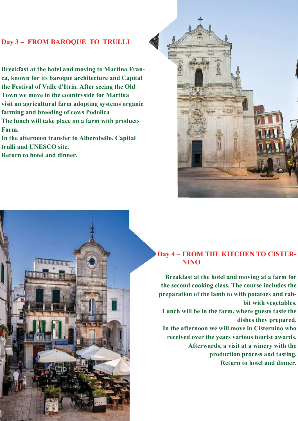# **Day 3 – FROM BAROQUE TO TRULLI**

**Breakfast at the hotel and moving to Martina Franca, known for its baroque architecture and Capital the Festival of Valle d'Itria. After seeing the Old Town we move in the countryside for Martina visit an agricultural farm adopting systems organic farming and breeding of cows Podolica The lunch will take place on a farm with products** 

**In the afternoon transfer to Alberobello, Capital trulli and UNESCO site.** 

**Return to hotel and dinner.** 

**THIRIRIRIRIRIRIRI** 

**MARK (HARRISKETT)** 

**Farm.** 



### **Day 4 – FROM THE KITCHEN TO CISTER- NINO**

**Breakfast at the hotel and moving at a farm for the second cooking class. The course includes the preparation of the lamb to with potatoes and rabbit with vegetables. Lunch will be in the farm, where guests taste the dishes they prepared. In the afternoon we will move in Cisternino who received over the years various tourist awards. Afterwards, a visit at a winery with the production process and tasting. Return to hotel and dinner.**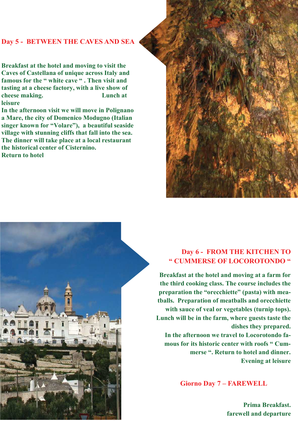### **Day 5 - BETWEEN THE CAVES AND SEA**

**Breakfast at the hotel and moving to visit the Caves of Castellana of unique across Italy and famous for the " white cave " . Then visit and tasting at a cheese factory, with a live show of cheese making. Lunch at leisure** 

**In the afternoon visit we will move in Polignano a Mare, the city of Domenico Modugno (Italian singer known for "Volare"), a beautiful seaside village with stunning cliffs that fall into the sea. The dinner will take place at a local restaurant the historical center of Cisternino. Return to hotel** 





# **Day 6 - FROM THE KITCHEN TO " CUMMERSE OF LOCOROTONDO "**

**Breakfast at the hotel and moving at a farm for the third cooking class. The course includes the preparation the "orecchiette" (pasta) with meatballs. Preparation of meatballs and orecchiette with sauce of veal or vegetables (turnip tops). Lunch will be in the farm, where guests taste the dishes they prepared. In the afternoon we travel to Locorotondo famous for its historic center with roofs " Cummerse ". Return to hotel and dinner. Evening at leisure** 

 **Giorno Day 7 – FAREWELL** 

**Prima Breakfast. farewell and departure**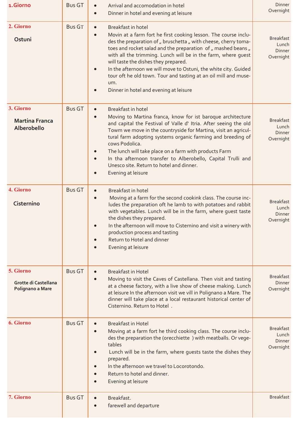| 1.Giorno                                              | <b>Bus GT</b> | Arrival and accomodation in hotel<br>Dinner in hotel and evening at leisure                                                                                                                                                                                                                                                                                                                                                                                                                                                            | Dinner<br>Overnight                              |
|-------------------------------------------------------|---------------|----------------------------------------------------------------------------------------------------------------------------------------------------------------------------------------------------------------------------------------------------------------------------------------------------------------------------------------------------------------------------------------------------------------------------------------------------------------------------------------------------------------------------------------|--------------------------------------------------|
| 2. Giorno<br>Ostuni                                   | <b>Bus GT</b> | Breakfast in hotel<br>$\bullet$<br>Movin at a farm fort he first cooking lesson. The course inclu-<br>des the preparation of " bruschetta " with cheese, cherry toma-<br>toes and rocket salad and the preparation of " mashed beans "<br>with all the trimming. Lunch will be in the farm, where guest<br>will taste the dishes they prepared.<br>In the afternoon we will move to Ostuni, the white city. Guided<br>tour oft he old town. Tour and tasting at an oil mill and muse-<br>um.<br>Dinner in hotel and evening at leisure | <b>Breakfast</b><br>Lunch<br>Dinner<br>Overnight |
| 3. Giorno<br><b>Martina Franca</b><br>Alberobello     | <b>Bus GT</b> | <b>Breakfast in hotel</b><br>$\bullet$<br>Moving to Martina franca, know for ist baroque architecture<br>and capital the Festival of Valle d' Itria. After seeing the old<br>Towm we move in the countryside for Martina, visit an agricul-<br>tural farm adopting systems organic farming and breeding of<br>cows Podolica.<br>The lunch will take place on a farm with products Farm<br>In tha afternoon transfer to Alberobello, Capital Trulli and<br>Unesco site. Return to hotel and dinner.<br>Evening at leisure               | <b>Breakfast</b><br>Lunch<br>Dinner<br>Overnight |
| 4. Giorno<br>Cisternino                               | <b>Bus GT</b> | Breakfast in hotel<br>Moving at a farm for the second cookink class. The course inc-<br>ludes the preparation oft he lamb to with potatoes and rabbit<br>with vegetables. Lunch will be in the farm, where guest taste<br>the dishes they prepared.<br>In the afternoon will move to Cisternino and visit a winery with<br>production process and tasting<br>Return to Hotel and dinner<br>Evening at leisure                                                                                                                          | <b>Breakfast</b><br>Lunch<br>Dinner<br>Overnight |
| 5. Giorno<br>Grotte di Castellana<br>Polignano a Mare | <b>Bus GT</b> | <b>Breakfast in Hotel</b><br>Moving to visit the Caves of Castellana. Then visit and tasting<br>at a cheese factory, with a live show of cheese making. Lunch<br>at leisure In the afternoon visit we vill in Polignano a Mare. The<br>dinner will take place at a local restaurant historical center of<br>Cisternino. Return to Hotel.                                                                                                                                                                                               | <b>Breakfast</b><br><b>Dinner</b><br>Overnight   |
| 6. Giorno                                             | <b>Bus GT</b> | <b>Breakfast in Hotel</b><br>Moving at a farm fort he third cooking class. The course inclu-<br>des the preparation the (orecchiette) with meatballs. Or vege-<br>tables<br>Lunch will be in the farm, where guests taste the dishes they<br>prepared.<br>In the afternoon we travel to Locorotondo.<br>Return to hotel and dinner.<br>Evening at leisure                                                                                                                                                                              | <b>Breakfast</b><br>Lunch<br>Dinner<br>Overnight |
| 7. Giorno                                             | <b>Bus GT</b> | Breakfast.<br>farewell and departure                                                                                                                                                                                                                                                                                                                                                                                                                                                                                                   | <b>Breakfast</b>                                 |